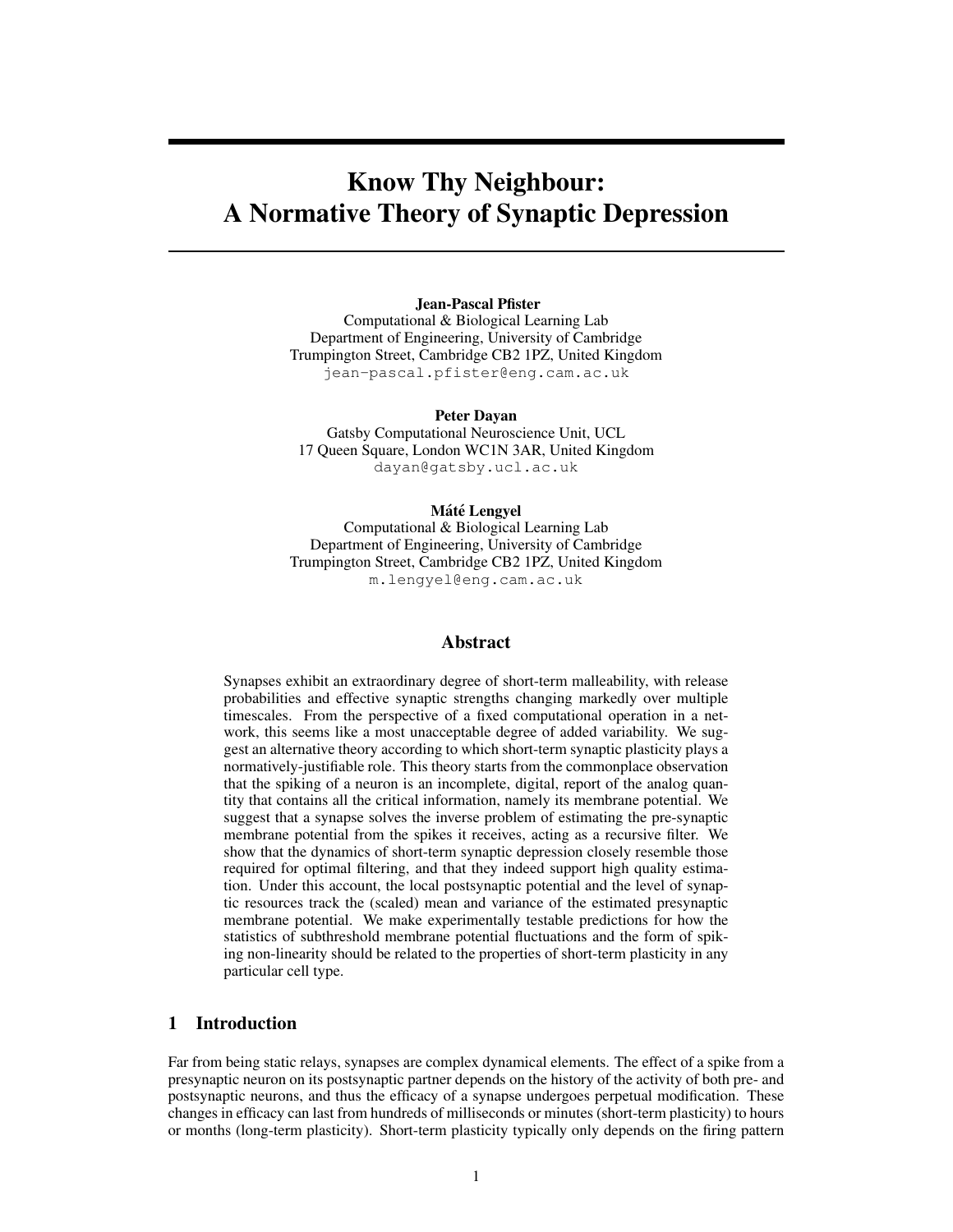# Know Thy Neighbour: A Normative Theory of Synaptic Depression

Jean-Pascal Pfister

Computational & Biological Learning Lab Department of Engineering, University of Cambridge Trumpington Street, Cambridge CB2 1PZ, United Kingdom jean-pascal.pfister@eng.cam.ac.uk

Peter Dayan

Gatsby Computational Neuroscience Unit, UCL 17 Queen Square, London WC1N 3AR, United Kingdom dayan@gatsby.ucl.ac.uk

## Máté Lengyel

Computational & Biological Learning Lab Department of Engineering, University of Cambridge Trumpington Street, Cambridge CB2 1PZ, United Kingdom m.lengyel@eng.cam.ac.uk

## Abstract

Synapses exhibit an extraordinary degree of short-term malleability, with release probabilities and effective synaptic strengths changing markedly over multiple timescales. From the perspective of a fixed computational operation in a network, this seems like a most unacceptable degree of added variability. We suggest an alternative theory according to which short-term synaptic plasticity plays a normatively-justifiable role. This theory starts from the commonplace observation that the spiking of a neuron is an incomplete, digital, report of the analog quantity that contains all the critical information, namely its membrane potential. We suggest that a synapse solves the inverse problem of estimating the pre-synaptic membrane potential from the spikes it receives, acting as a recursive filter. We show that the dynamics of short-term synaptic depression closely resemble those required for optimal filtering, and that they indeed support high quality estimation. Under this account, the local postsynaptic potential and the level of synaptic resources track the (scaled) mean and variance of the estimated presynaptic membrane potential. We make experimentally testable predictions for how the statistics of subthreshold membrane potential fluctuations and the form of spiking non-linearity should be related to the properties of short-term plasticity in any particular cell type.

# 1 Introduction

Far from being static relays, synapses are complex dynamical elements. The effect of a spike from a presynaptic neuron on its postsynaptic partner depends on the history of the activity of both pre- and postsynaptic neurons, and thus the efficacy of a synapse undergoes perpetual modification. These changes in efficacy can last from hundreds of milliseconds or minutes (short-term plasticity) to hours or months (long-term plasticity). Short-term plasticity typically only depends on the firing pattern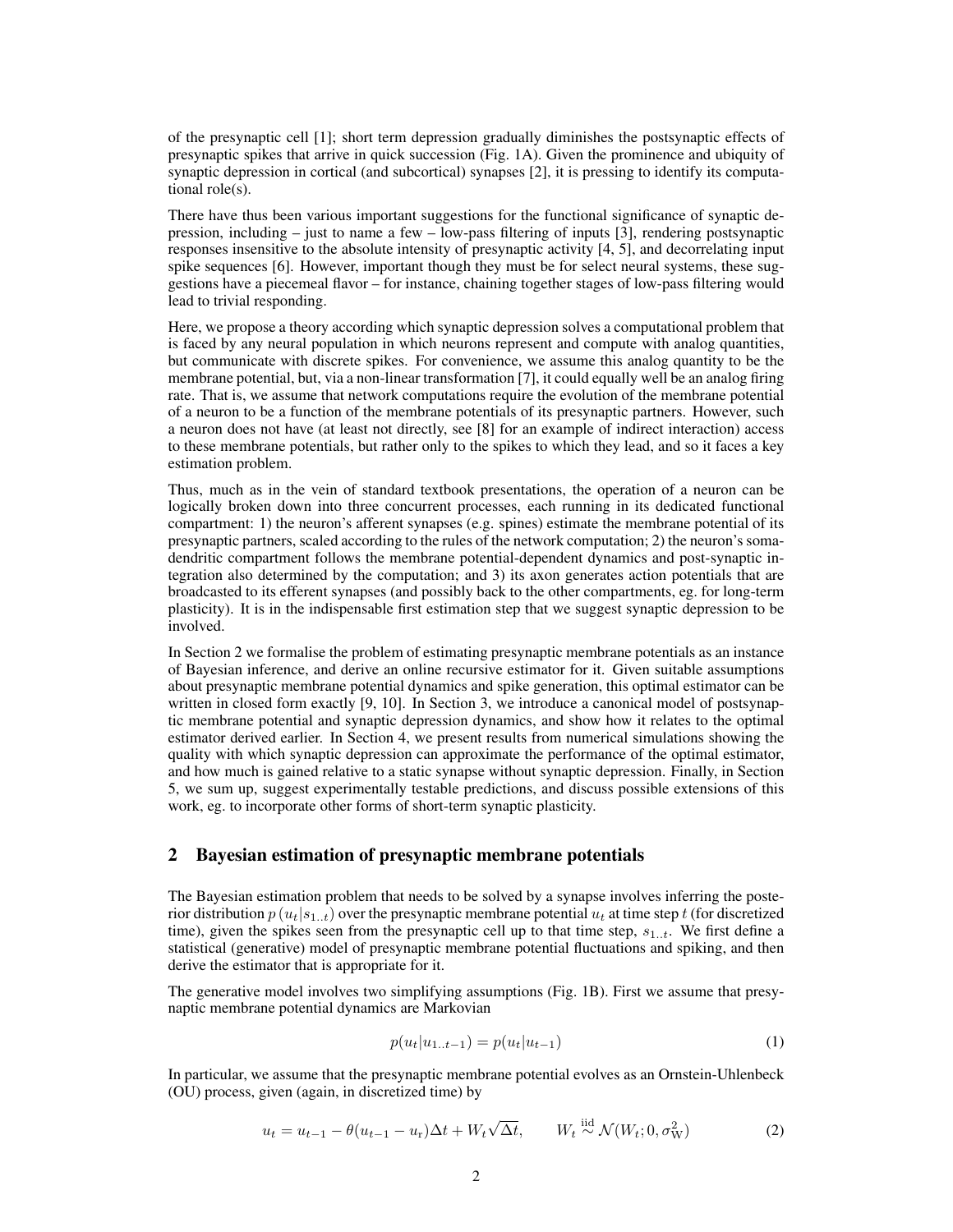of the presynaptic cell [1]; short term depression gradually diminishes the postsynaptic effects of presynaptic spikes that arrive in quick succession (Fig. 1A). Given the prominence and ubiquity of synaptic depression in cortical (and subcortical) synapses [2], it is pressing to identify its computational role(s).

There have thus been various important suggestions for the functional significance of synaptic depression, including – just to name a few – low-pass filtering of inputs [3], rendering postsynaptic responses insensitive to the absolute intensity of presynaptic activity [4, 5], and decorrelating input spike sequences [6]. However, important though they must be for select neural systems, these suggestions have a piecemeal flavor – for instance, chaining together stages of low-pass filtering would lead to trivial responding.

Here, we propose a theory according which synaptic depression solves a computational problem that is faced by any neural population in which neurons represent and compute with analog quantities, but communicate with discrete spikes. For convenience, we assume this analog quantity to be the membrane potential, but, via a non-linear transformation [7], it could equally well be an analog firing rate. That is, we assume that network computations require the evolution of the membrane potential of a neuron to be a function of the membrane potentials of its presynaptic partners. However, such a neuron does not have (at least not directly, see [8] for an example of indirect interaction) access to these membrane potentials, but rather only to the spikes to which they lead, and so it faces a key estimation problem.

Thus, much as in the vein of standard textbook presentations, the operation of a neuron can be logically broken down into three concurrent processes, each running in its dedicated functional compartment: 1) the neuron's afferent synapses (e.g. spines) estimate the membrane potential of its presynaptic partners, scaled according to the rules of the network computation; 2) the neuron's somadendritic compartment follows the membrane potential-dependent dynamics and post-synaptic integration also determined by the computation; and 3) its axon generates action potentials that are broadcasted to its efferent synapses (and possibly back to the other compartments, eg. for long-term plasticity). It is in the indispensable first estimation step that we suggest synaptic depression to be involved.

In Section 2 we formalise the problem of estimating presynaptic membrane potentials as an instance of Bayesian inference, and derive an online recursive estimator for it. Given suitable assumptions about presynaptic membrane potential dynamics and spike generation, this optimal estimator can be written in closed form exactly [9, 10]. In Section 3, we introduce a canonical model of postsynaptic membrane potential and synaptic depression dynamics, and show how it relates to the optimal estimator derived earlier. In Section 4, we present results from numerical simulations showing the quality with which synaptic depression can approximate the performance of the optimal estimator, and how much is gained relative to a static synapse without synaptic depression. Finally, in Section 5, we sum up, suggest experimentally testable predictions, and discuss possible extensions of this work, eg. to incorporate other forms of short-term synaptic plasticity.

# 2 Bayesian estimation of presynaptic membrane potentials

The Bayesian estimation problem that needs to be solved by a synapse involves inferring the posterior distribution  $p(u_t|s_{1..t})$  over the presynaptic membrane potential  $u_t$  at time step t (for discretized time), given the spikes seen from the presynaptic cell up to that time step,  $s_{1..t}$ . We first define a statistical (generative) model of presynaptic membrane potential fluctuations and spiking, and then derive the estimator that is appropriate for it.

The generative model involves two simplifying assumptions (Fig. 1B). First we assume that presynaptic membrane potential dynamics are Markovian

$$
p(u_t|u_{1..t-1}) = p(u_t|u_{t-1})
$$
\n(1)

In particular, we assume that the presynaptic membrane potential evolves as an Ornstein-Uhlenbeck (OU) process, given (again, in discretized time) by

$$
u_t = u_{t-1} - \theta (u_{t-1} - u_r) \Delta t + W_t \sqrt{\Delta t}, \qquad W_t \stackrel{\text{iid}}{\sim} \mathcal{N}(W_t; 0, \sigma_W^2)
$$
 (2)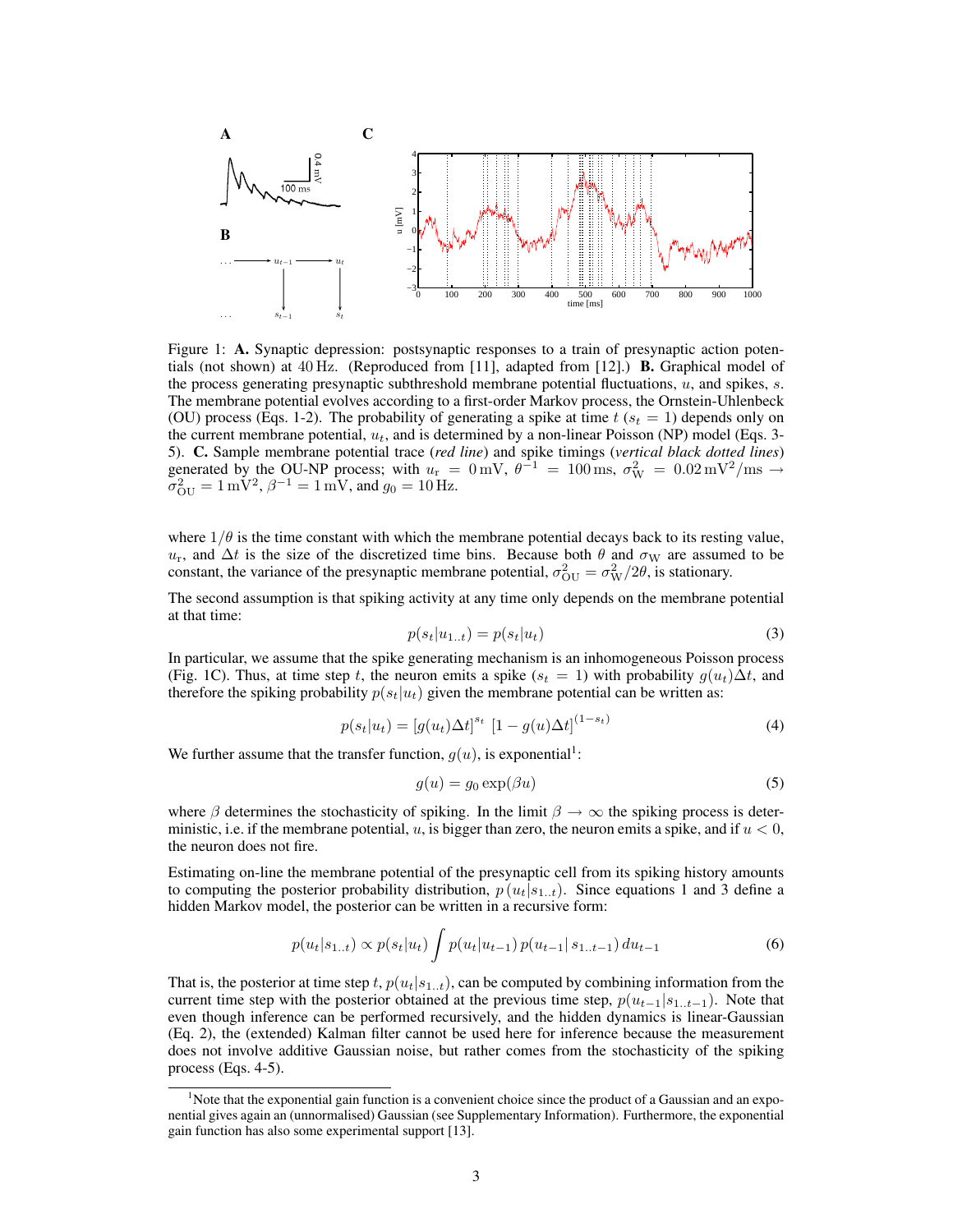

Figure 1: A. Synaptic depression: postsynaptic responses to a train of presynaptic action potentials (not shown) at  $40 \text{ Hz}$ . (Reproduced from [11], adapted from [12].) **B.** Graphical model of the process generating presynaptic subthreshold membrane potential fluctuations, u, and spikes, s. The membrane potential evolves according to a first-order Markov process, the Ornstein-Uhlenbeck (OU) process (Eqs. 1-2). The probability of generating a spike at time  $t$  ( $s_t = 1$ ) depends only on the current membrane potential,  $u_t$ , and is determined by a non-linear Poisson (NP) model (Eqs. 3-5). C. Sample membrane potential trace (*red line*) and spike timings (*vertical black dotted lines*) generated by the OU-NP process; with  $u_r = 0$  mV,  $\theta^{-1} = 100$  ms,  $\sigma_W^2 = 0.02$  mV<sup>2</sup>/ms  $\rightarrow$  $\sigma_{\text{OU}}^2 = 1 \,\text{mV}^2$ ,  $\beta^{-1} = 1 \,\text{mV}$ , and  $g_0 = 10 \,\text{Hz}$ .

where  $1/\theta$  is the time constant with which the membrane potential decays back to its resting value,  $u_r$ , and  $\Delta t$  is the size of the discretized time bins. Because both  $\theta$  and  $\sigma_W$  are assumed to be constant, the variance of the presynaptic membrane potential,  $\sigma_{\text{OU}}^2 = \sigma_{\text{W}}^2/2\theta$ , is stationary.

The second assumption is that spiking activity at any time only depends on the membrane potential at that time:

$$
p(s_t|u_{1..t}) = p(s_t|u_t)
$$
\n(3)

In particular, we assume that the spike generating mechanism is an inhomogeneous Poisson process (Fig. 1C). Thus, at time step t, the neuron emits a spike ( $s_t = 1$ ) with probability  $g(u_t)\Delta t$ , and therefore the spiking probability  $p(s_t|u_t)$  given the membrane potential can be written as:

$$
p(s_t|u_t) = [g(u_t)\Delta t]^{s_t} [1 - g(u)\Delta t]^{(1 - s_t)}
$$
\n(4)

We further assume that the transfer function,  $g(u)$ , is exponential<sup>1</sup>:

$$
g(u) = g_0 \exp(\beta u) \tag{5}
$$

where  $\beta$  determines the stochasticity of spiking. In the limit  $\beta \rightarrow \infty$  the spiking process is deterministic, i.e. if the membrane potential,  $u$ , is bigger than zero, the neuron emits a spike, and if  $u < 0$ , the neuron does not fire.

Estimating on-line the membrane potential of the presynaptic cell from its spiking history amounts to computing the posterior probability distribution,  $p(u_t|s_{1..t})$ . Since equations 1 and 3 define a hidden Markov model, the posterior can be written in a recursive form:

$$
p(u_t|s_{1..t}) \propto p(s_t|u_t) \int p(u_t|u_{t-1}) p(u_{t-1}|s_{1..t-1}) du_{t-1}
$$
\n(6)

That is, the posterior at time step t,  $p(u_t|s_{1..t})$ , can be computed by combining information from the current time step with the posterior obtained at the previous time step,  $p(u_{t-1}|s_{1..t-1})$ . Note that even though inference can be performed recursively, and the hidden dynamics is linear-Gaussian (Eq. 2), the (extended) Kalman filter cannot be used here for inference because the measurement does not involve additive Gaussian noise, but rather comes from the stochasticity of the spiking process (Eqs. 4-5).

<sup>1</sup>Note that the exponential gain function is a convenient choice since the product of a Gaussian and an exponential gives again an (unnormalised) Gaussian (see Supplementary Information). Furthermore, the exponential gain function has also some experimental support [13].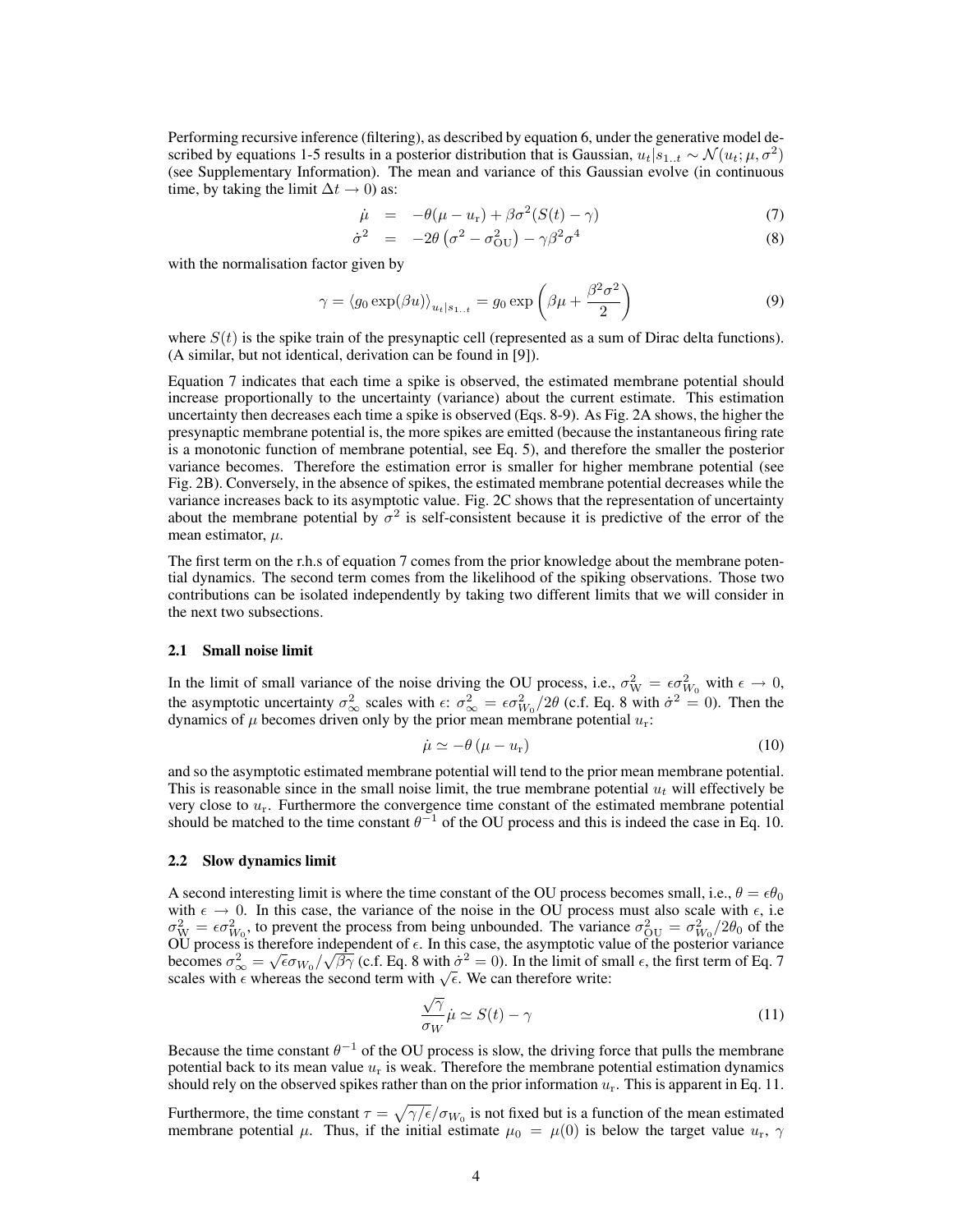Performing recursive inference (filtering), as described by equation 6, under the generative model described by equations 1-5 results in a posterior distribution that is Gaussian,  $u_t|s_{1..t} \sim \mathcal{N}(u_t; \mu, \sigma^2)$ (see Supplementary Information). The mean and variance of this Gaussian evolve (in continuous time, by taking the limit  $\Delta t \rightarrow 0$ ) as:

$$
\dot{\mu} = -\theta(\mu - u_{\rm r}) + \beta \sigma^2 (S(t) - \gamma) \tag{7}
$$

$$
\dot{\sigma}^2 = -2\theta \left(\sigma^2 - \sigma_{\text{OU}}^2\right) - \gamma \beta^2 \sigma^4 \tag{8}
$$

with the normalisation factor given by

$$
\gamma = \langle g_0 \exp(\beta u) \rangle_{u_t|s_{1..t}} = g_0 \exp\left(\beta \mu + \frac{\beta^2 \sigma^2}{2}\right)
$$
\n(9)

where  $S(t)$  is the spike train of the presynaptic cell (represented as a sum of Dirac delta functions). (A similar, but not identical, derivation can be found in [9]).

Equation 7 indicates that each time a spike is observed, the estimated membrane potential should increase proportionally to the uncertainty (variance) about the current estimate. This estimation uncertainty then decreases each time a spike is observed (Eqs. 8-9). As Fig. 2A shows, the higher the presynaptic membrane potential is, the more spikes are emitted (because the instantaneous firing rate is a monotonic function of membrane potential, see Eq. 5), and therefore the smaller the posterior variance becomes. Therefore the estimation error is smaller for higher membrane potential (see Fig. 2B). Conversely, in the absence of spikes, the estimated membrane potential decreases while the variance increases back to its asymptotic value. Fig. 2C shows that the representation of uncertainty about the membrane potential by  $\sigma^2$  is self-consistent because it is predictive of the error of the mean estimator,  $\mu$ .

The first term on the r.h.s of equation 7 comes from the prior knowledge about the membrane potential dynamics. The second term comes from the likelihood of the spiking observations. Those two contributions can be isolated independently by taking two different limits that we will consider in the next two subsections.

## 2.1 Small noise limit

In the limit of small variance of the noise driving the OU process, i.e.,  $\sigma_W^2 = \epsilon \sigma_{W_0}^2$  with  $\epsilon \to 0$ , the asymptotic uncertainty  $\sigma_{\infty}^2$  scales with  $\epsilon$ :  $\sigma_{\infty}^2 = \epsilon \sigma_{W_0}^2/2\theta$  (c.f. Eq. 8 with  $\dot{\sigma}^2 = 0$ ). Then the dynamics of  $\mu$  becomes driven only by the prior mean membrane potential  $u_r$ .

$$
\dot{\mu} \simeq -\theta \left(\mu - u_{\rm r}\right) \tag{10}
$$

and so the asymptotic estimated membrane potential will tend to the prior mean membrane potential. This is reasonable since in the small noise limit, the true membrane potential  $u_t$  will effectively be very close to  $u_r$ . Furthermore the convergence time constant of the estimated membrane potential should be matched to the time constant  $\theta^{-1}$  of the OU process and this is indeed the case in Eq. 10.

#### 2.2 Slow dynamics limit

A second interesting limit is where the time constant of the OU process becomes small, i.e.,  $\theta = \epsilon \theta_0$ with  $\epsilon \to 0$ . In this case, the variance of the noise in the OU process must also scale with  $\epsilon$ , i.e.  $\sigma_{\text{W}}^2 = \epsilon \sigma_{W_0}^2$ , to prevent the process from being unbounded. The variance  $\sigma_{\text{OU}}^2 = \sigma_{W_0}^2/2\theta_0$  of the OU process is therefore independent of  $\epsilon$ . In this case, the asymptotic value of the posterior variance OU process is therefore independent of  $\epsilon$ . In this case, the asymptotic value of the posterior variance<br>becomes  $\sigma_{\infty}^2 = \sqrt{\epsilon \sigma_{W_0}}/\sqrt{\beta \gamma}$  (c.f. Eq. 8 with  $\dot{\sigma}^2 = 0$ ). In the limit of small  $\epsilon$ , the first term scales with  $\epsilon$  whereas the second term with  $\sqrt{\epsilon}$ . We can therefore write:

$$
\frac{\sqrt{\gamma}}{\sigma_W} \dot{\mu} \simeq S(t) - \gamma \tag{11}
$$

Because the time constant  $\theta^{-1}$  of the OU process is slow, the driving force that pulls the membrane potential back to its mean value  $u_r$  is weak. Therefore the membrane potential estimation dynamics should rely on the observed spikes rather than on the prior information  $u_r$ . This is apparent in Eq. 11.

Furthermore, the time constant  $\tau = \sqrt{\gamma/\epsilon}/\sigma_{W_0}$  is not fixed but is a function of the mean estimated membrane potential  $\mu$ . Thus, if the initial estimate  $\mu_0 = \mu(0)$  is below the target value  $u_r$ ,  $\gamma$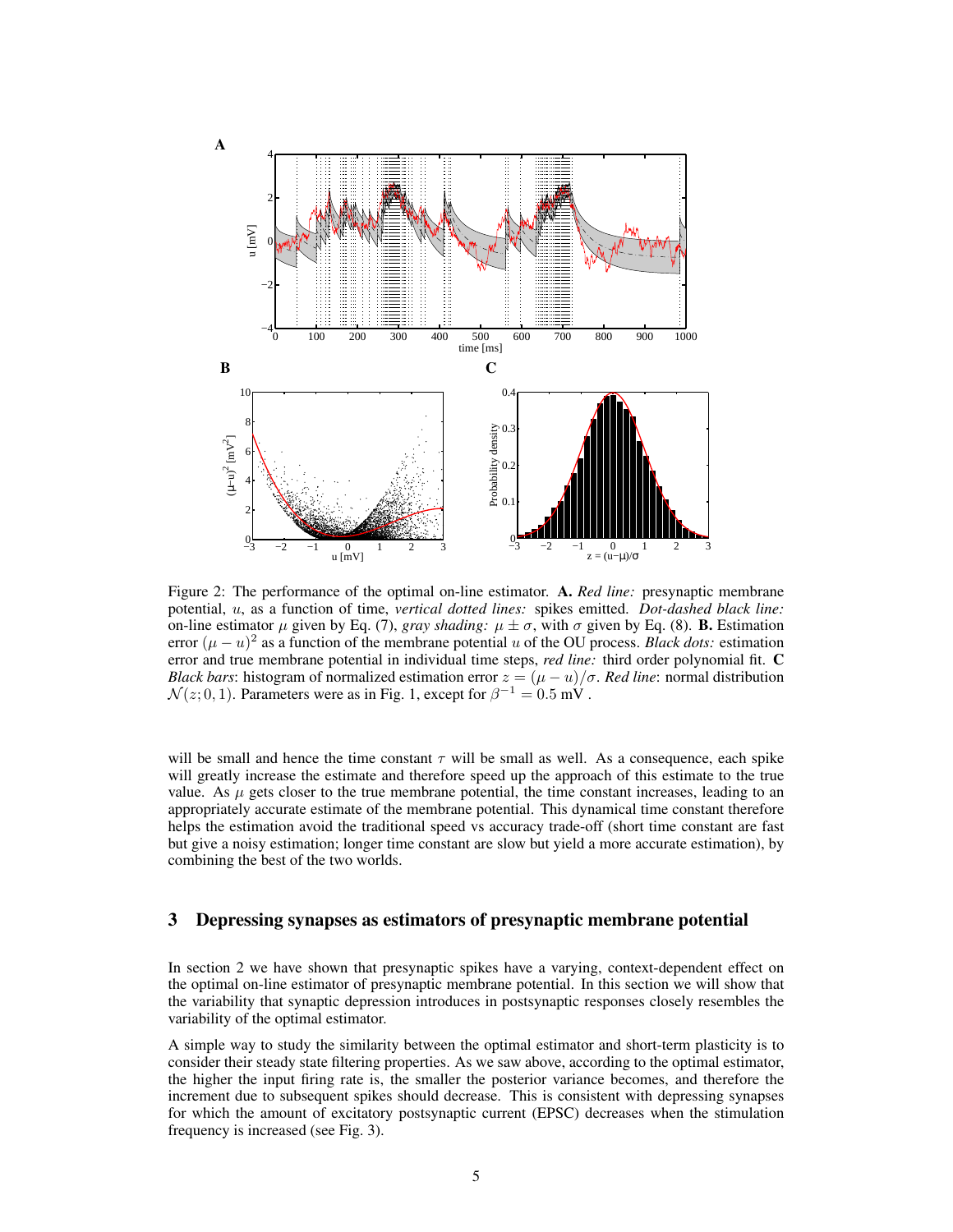

Figure 2: The performance of the optimal on-line estimator. A. *Red line:* presynaptic membrane potential, u, as a function of time, *vertical dotted lines:* spikes emitted. *Dot-dashed black line:* on-line estimator  $\mu$  given by Eq. (7), *gray shading:*  $\mu \pm \sigma$ , with  $\sigma$  given by Eq. (8). **B.** Estimation error  $(\mu - u)^2$  as a function of the membrane potential u of the OU process. *Black dots:* estimation error and true membrane potential in individual time steps, *red line:* third order polynomial fit. C *Black bars*: histogram of normalized estimation error  $z = (\mu - u)/\sigma$ . *Red line*: normal distribution  $\mathcal{N}(z; 0, 1)$ . Parameters were as in Fig. 1, except for  $\beta^{-1} = 0.5$  mV.

will be small and hence the time constant  $\tau$  will be small as well. As a consequence, each spike will greatly increase the estimate and therefore speed up the approach of this estimate to the true value. As  $\mu$  gets closer to the true membrane potential, the time constant increases, leading to an appropriately accurate estimate of the membrane potential. This dynamical time constant therefore helps the estimation avoid the traditional speed vs accuracy trade-off (short time constant are fast but give a noisy estimation; longer time constant are slow but yield a more accurate estimation), by combining the best of the two worlds.

# 3 Depressing synapses as estimators of presynaptic membrane potential

In section 2 we have shown that presynaptic spikes have a varying, context-dependent effect on the optimal on-line estimator of presynaptic membrane potential. In this section we will show that the variability that synaptic depression introduces in postsynaptic responses closely resembles the variability of the optimal estimator.

A simple way to study the similarity between the optimal estimator and short-term plasticity is to consider their steady state filtering properties. As we saw above, according to the optimal estimator, the higher the input firing rate is, the smaller the posterior variance becomes, and therefore the increment due to subsequent spikes should decrease. This is consistent with depressing synapses for which the amount of excitatory postsynaptic current (EPSC) decreases when the stimulation frequency is increased (see Fig. 3).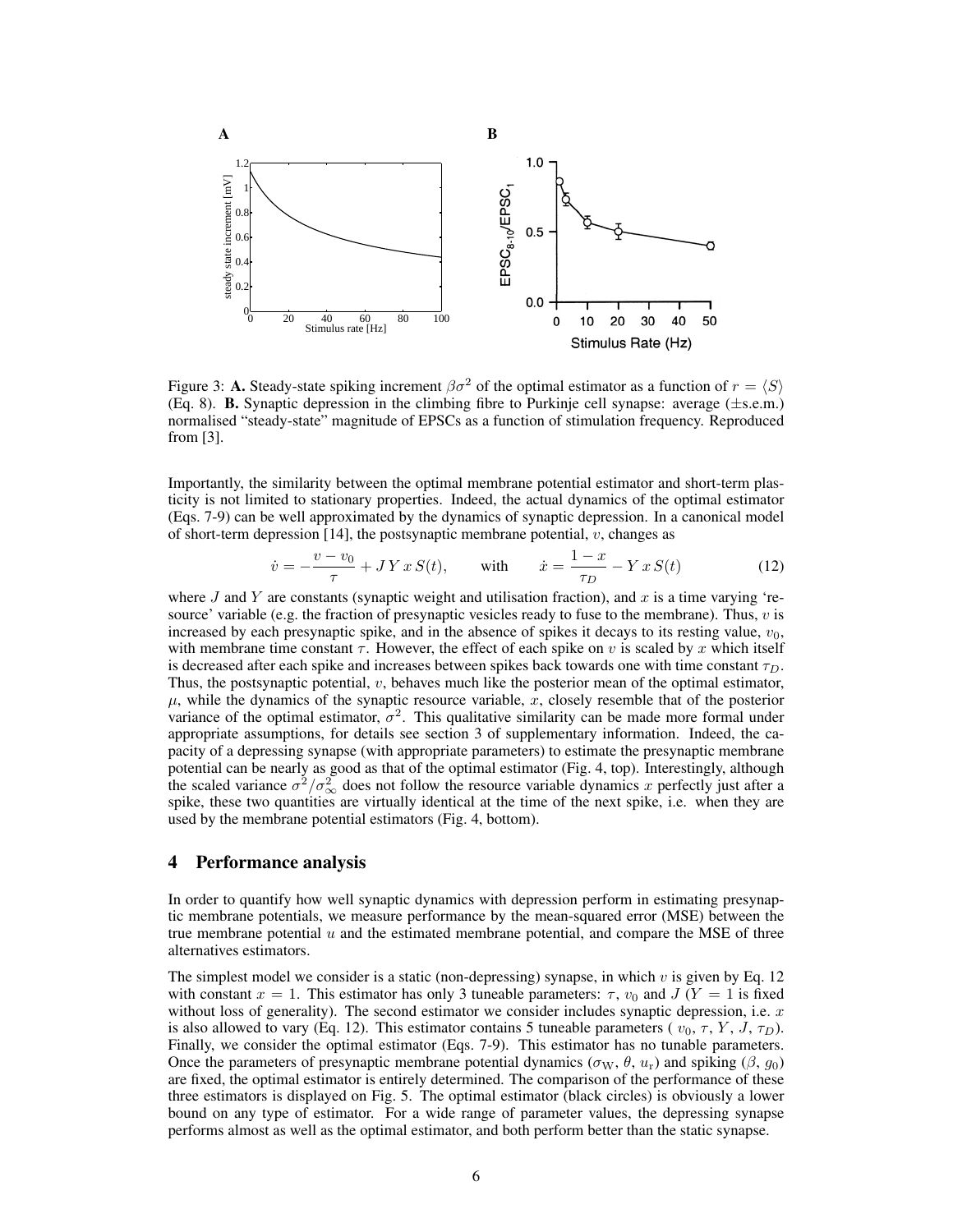

Figure 3: A. Steady-state spiking increment  $\beta \sigma^2$  of the optimal estimator as a function of  $r = \langle S \rangle$ (Eq. 8). B. Synaptic depression in the climbing fibre to Purkinje cell synapse: average (±s.e.m.) normalised "steady-state" magnitude of EPSCs as a function of stimulation frequency. Reproduced from [3].

Importantly, the similarity between the optimal membrane potential estimator and short-term plasticity is not limited to stationary properties. Indeed, the actual dynamics of the optimal estimator (Eqs. 7-9) can be well approximated by the dynamics of synaptic depression. In a canonical model of short-term depression [14], the postsynaptic membrane potential,  $v$ , changes as

$$
\dot{v} = -\frac{v - v_0}{\tau} + JY \, x \, S(t), \qquad \text{with} \qquad \dot{x} = \frac{1 - x}{\tau_D} - Y \, x \, S(t) \tag{12}
$$

where  $J$  and  $Y$  are constants (synaptic weight and utilisation fraction), and  $x$  is a time varying 'resource' variable (e.g. the fraction of presynaptic vesicles ready to fuse to the membrane). Thus,  $v$  is increased by each presynaptic spike, and in the absence of spikes it decays to its resting value,  $v_0$ , with membrane time constant  $\tau$ . However, the effect of each spike on v is scaled by x which itself is decreased after each spike and increases between spikes back towards one with time constant  $\tau_D$ . Thus, the postsynaptic potential, v, behaves much like the posterior mean of the optimal estimator,  $\mu$ , while the dynamics of the synaptic resource variable, x, closely resemble that of the posterior variance of the optimal estimator,  $\sigma^2$ . This qualitative similarity can be made more formal under appropriate assumptions, for details see section 3 of supplementary information. Indeed, the capacity of a depressing synapse (with appropriate parameters) to estimate the presynaptic membrane potential can be nearly as good as that of the optimal estimator (Fig. 4, top). Interestingly, although the scaled variance  $\sigma^2/\sigma_{\infty}^2$  does not follow the resource variable dynamics x perfectly just after a spike, these two quantities are virtually identical at the time of the next spike, i.e. when they are used by the membrane potential estimators (Fig. 4, bottom).

## 4 Performance analysis

In order to quantify how well synaptic dynamics with depression perform in estimating presynaptic membrane potentials, we measure performance by the mean-squared error (MSE) between the true membrane potential  $u$  and the estimated membrane potential, and compare the MSE of three alternatives estimators.

The simplest model we consider is a static (non-depressing) synapse, in which  $v$  is given by Eq. 12 with constant  $x = 1$ . This estimator has only 3 tuneable parameters:  $\tau$ ,  $v_0$  and  $J(Y = 1$  is fixed without loss of generality). The second estimator we consider includes synaptic depression, i.e.  $x$ is also allowed to vary (Eq. 12). This estimator contains 5 tuneable parameters ( $v_0, \tau, Y, J, \tau_D$ ). Finally, we consider the optimal estimator (Eqs. 7-9). This estimator has no tunable parameters. Once the parameters of presynaptic membrane potential dynamics ( $\sigma_W$ ,  $\theta$ ,  $u_r$ ) and spiking ( $\beta$ ,  $g_0$ ) are fixed, the optimal estimator is entirely determined. The comparison of the performance of these three estimators is displayed on Fig. 5. The optimal estimator (black circles) is obviously a lower bound on any type of estimator. For a wide range of parameter values, the depressing synapse performs almost as well as the optimal estimator, and both perform better than the static synapse.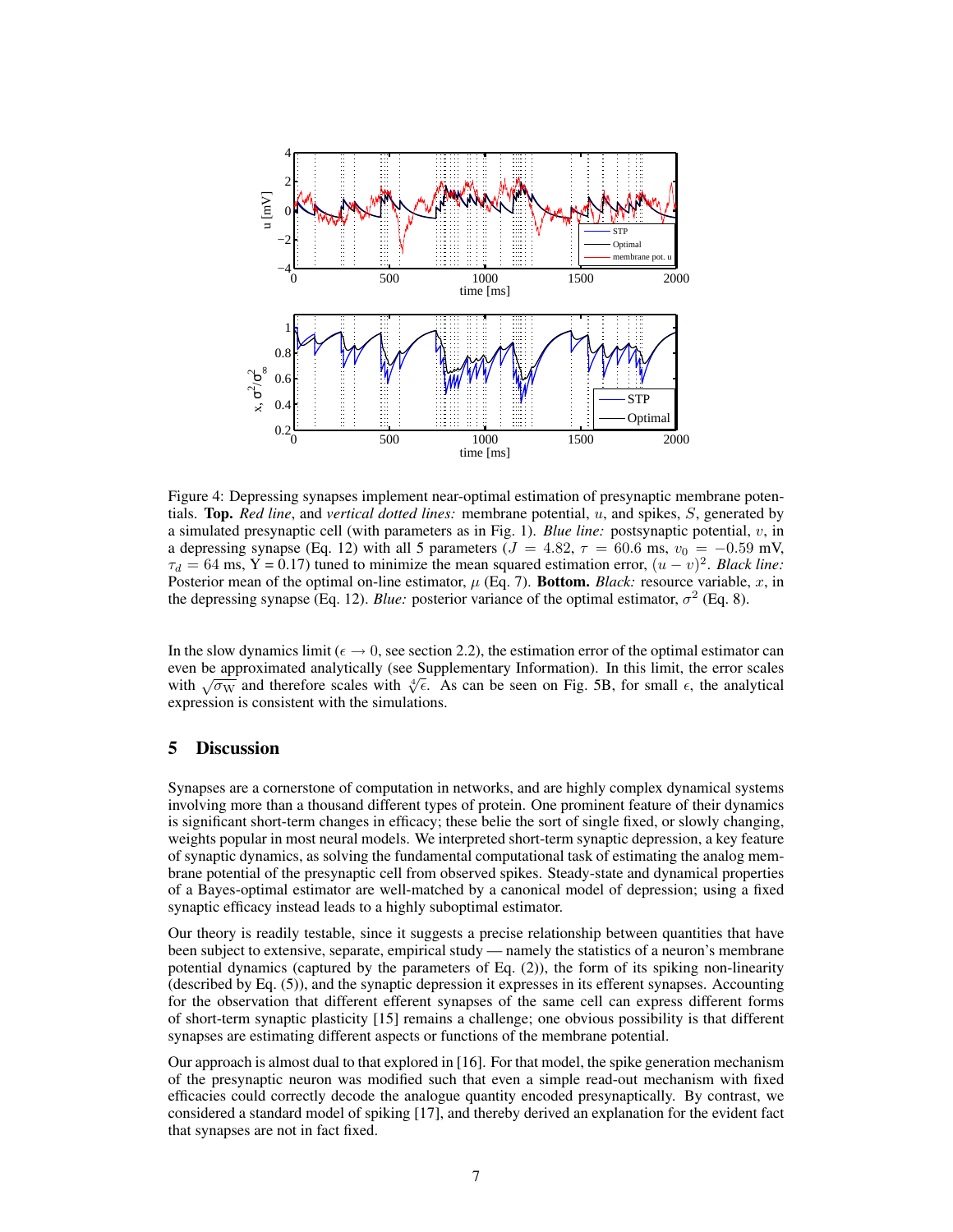

Figure 4: Depressing synapses implement near-optimal estimation of presynaptic membrane potentials. Top. *Red line*, and *vertical dotted lines:* membrane potential, u, and spikes, S, generated by a simulated presynaptic cell (with parameters as in Fig. 1). *Blue line:* postsynaptic potential, v, in a depressing synapse (Eq. 12) with all 5 parameters ( $J = 4.82$ ,  $\tau = 60.6$  ms,  $v_0 = -0.59$  mV,  $\tau_d = 64$  ms, Y = 0.17) tuned to minimize the mean squared estimation error,  $(u - v)^2$ . *Black line:* Posterior mean of the optimal on-line estimator,  $\mu$  (Eq. 7). Bottom. *Black:* resource variable, x, in the depressing synapse (Eq. 12). *Blue:* posterior variance of the optimal estimator,  $\sigma^2$  (Eq. 8).

In the slow dynamics limit ( $\epsilon \to 0$ , see section 2.2), the estimation error of the optimal estimator can even be approximated analytically (see Supplementary Information). In this limit, the error scales even be approximated analytically (see Supplementary Information). In this limit, the error scales with  $\sqrt{\sigma_{\rm W}}$  and therefore scales with  $\sqrt[4]{\epsilon}$ . As can be seen on Fig. 5B, for small  $\epsilon$ , the analytical expression is consistent with the simulations.

# 5 Discussion

Synapses are a cornerstone of computation in networks, and are highly complex dynamical systems involving more than a thousand different types of protein. One prominent feature of their dynamics is significant short-term changes in efficacy; these belie the sort of single fixed, or slowly changing, weights popular in most neural models. We interpreted short-term synaptic depression, a key feature of synaptic dynamics, as solving the fundamental computational task of estimating the analog membrane potential of the presynaptic cell from observed spikes. Steady-state and dynamical properties of a Bayes-optimal estimator are well-matched by a canonical model of depression; using a fixed synaptic efficacy instead leads to a highly suboptimal estimator.

Our theory is readily testable, since it suggests a precise relationship between quantities that have been subject to extensive, separate, empirical study — namely the statistics of a neuron's membrane potential dynamics (captured by the parameters of Eq. (2)), the form of its spiking non-linearity (described by Eq. (5)), and the synaptic depression it expresses in its efferent synapses. Accounting for the observation that different efferent synapses of the same cell can express different forms of short-term synaptic plasticity [15] remains a challenge; one obvious possibility is that different synapses are estimating different aspects or functions of the membrane potential.

Our approach is almost dual to that explored in [16]. For that model, the spike generation mechanism of the presynaptic neuron was modified such that even a simple read-out mechanism with fixed efficacies could correctly decode the analogue quantity encoded presynaptically. By contrast, we considered a standard model of spiking [17], and thereby derived an explanation for the evident fact that synapses are not in fact fixed.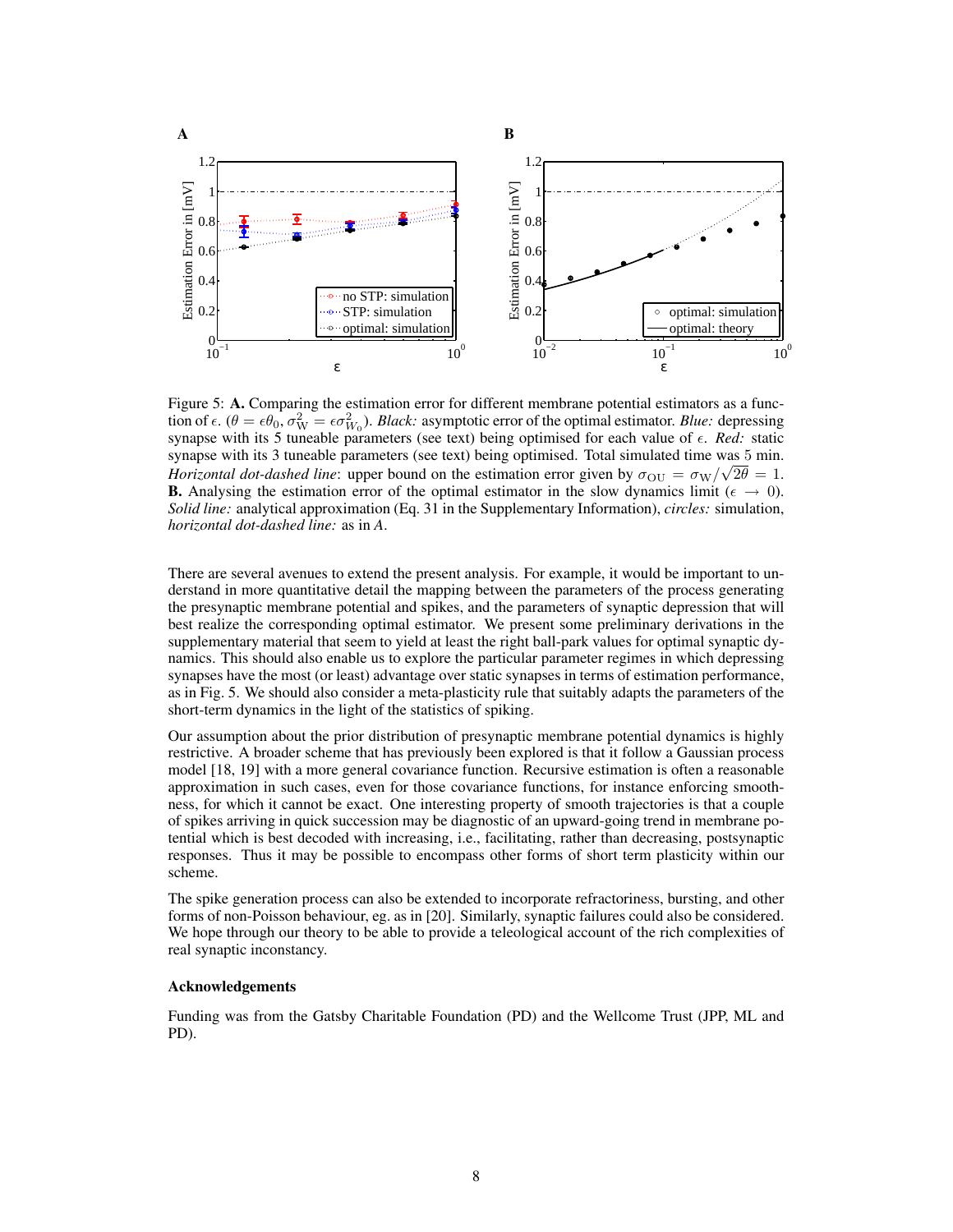

Figure 5: A. Comparing the estimation error for different membrane potential estimators as a function of  $\epsilon$ .  $(\theta = \epsilon \theta_0, \sigma_{\rm W}^2 = \epsilon \sigma_{W_0}^2)$ . *Black:* asymptotic error of the optimal estimator. *Blue:* depressing synapse with its 5 tuneable parameters (see text) being optimised for each value of  $\epsilon$ . *Red:* static synapse with its 3 tuneable parameters (see text) being optimised. Total simulated time was 5 min. *Horizontal dot-dashed line*: upper bound on the estimation error given by  $\sigma_{\text{OU}} = \sigma_{\text{W}} / \sqrt{2\theta} = 1$ . **B.** Analysing the estimation error of the optimal estimator in the slow dynamics limit ( $\epsilon \rightarrow 0$ ). *Solid line:* analytical approximation (Eq. 31 in the Supplementary Information), *circles:* simulation, *horizontal dot-dashed line:* as in *A*.

There are several avenues to extend the present analysis. For example, it would be important to understand in more quantitative detail the mapping between the parameters of the process generating the presynaptic membrane potential and spikes, and the parameters of synaptic depression that will best realize the corresponding optimal estimator. We present some preliminary derivations in the supplementary material that seem to yield at least the right ball-park values for optimal synaptic dynamics. This should also enable us to explore the particular parameter regimes in which depressing synapses have the most (or least) advantage over static synapses in terms of estimation performance, as in Fig. 5. We should also consider a meta-plasticity rule that suitably adapts the parameters of the short-term dynamics in the light of the statistics of spiking.

Our assumption about the prior distribution of presynaptic membrane potential dynamics is highly restrictive. A broader scheme that has previously been explored is that it follow a Gaussian process model [18, 19] with a more general covariance function. Recursive estimation is often a reasonable approximation in such cases, even for those covariance functions, for instance enforcing smoothness, for which it cannot be exact. One interesting property of smooth trajectories is that a couple of spikes arriving in quick succession may be diagnostic of an upward-going trend in membrane potential which is best decoded with increasing, i.e., facilitating, rather than decreasing, postsynaptic responses. Thus it may be possible to encompass other forms of short term plasticity within our scheme.

The spike generation process can also be extended to incorporate refractoriness, bursting, and other forms of non-Poisson behaviour, eg. as in [20]. Similarly, synaptic failures could also be considered. We hope through our theory to be able to provide a teleological account of the rich complexities of real synaptic inconstancy.

### Acknowledgements

Funding was from the Gatsby Charitable Foundation (PD) and the Wellcome Trust (JPP, ML and PD).